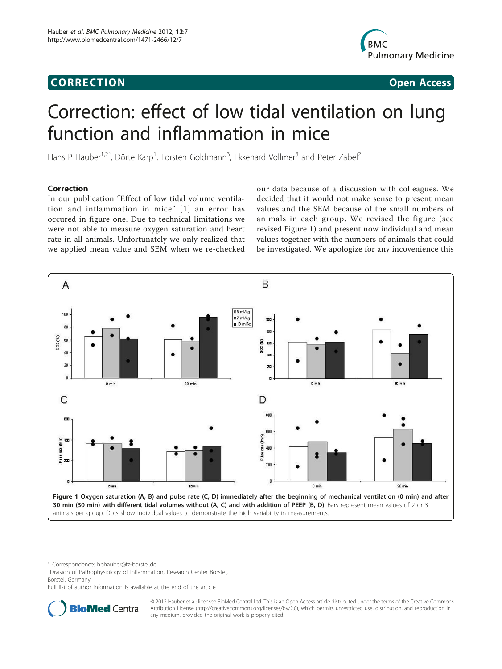## Corresponding to the corresponding to the corresponding to the corresponding to the corresponding to the corresponding to the corresponding to the corresponding to the corresponding to the corresponding to the correspondin



# Correction: effect of low tidal ventilation on lung function and inflammation in mice

Hans P Hauber<sup>1,2\*</sup>, Dörte Karp<sup>1</sup>, Torsten Goldmann<sup>3</sup>, Ekkehard Vollmer<sup>3</sup> and Peter Zabel<sup>2</sup>

## **Correction**

In our publication "Effect of low tidal volume ventilation and inflammation in mice" [[1\]](#page-1-0) an error has occured in figure one. Due to technical limitations we were not able to measure oxygen saturation and heart rate in all animals. Unfortunately we only realized that we applied mean value and SEM when we re-checked

our data because of a discussion with colleagues. We decided that it would not make sense to present mean values and the SEM because of the small numbers of animals in each group. We revised the figure (see revised Figure 1) and present now individual and mean values together with the numbers of animals that could be investigated. We apologize for any incovenience this



\* Correspondence: [hphauber@fz-borstel.de](mailto:hphauber@fz-borstel.de)

<sup>1</sup> Division of Pathophysiology of Inflammation, Research Center Borstel, Borstel, Germany

Full list of author information is available at the end of the article



© 2012 Hauber et al; licensee BioMed Central Ltd. This is an Open Access article distributed under the terms of the Creative Commons Attribution License [\(http://creativecommons.org/licenses/by/2.0](http://creativecommons.org/licenses/by/2.0)), which permits unrestricted use, distribution, and reproduction in any medium, provided the original work is properly cited.